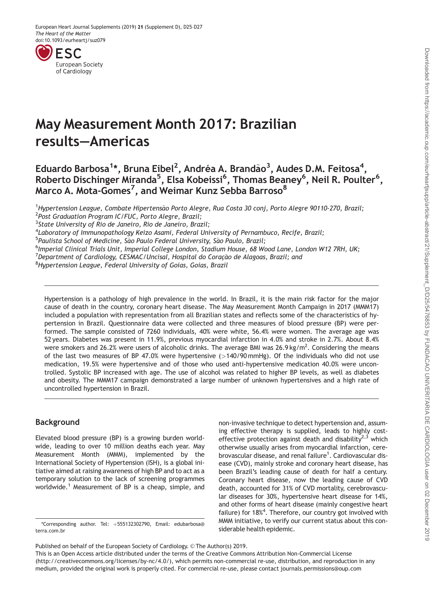<span id="page-0-0"></span>

# May Measurement Month 2017: Brazilian results—Americas

Eduardo Barbosa<sup>1</sup>\*, Bruna Eibel<sup>2</sup>, Andréa A. Brandão<sup>3</sup>, Audes D.M. Feitosa<sup>4</sup>, Roberto Dischinger Miranda<sup>5</sup>, Elsa Kobeissi<sup>6</sup>, Thomas Beaney<sup>6</sup>, Neil R. Poulter<sup>6</sup>, Marco A. Mota-Gomes<sup>7</sup>, and Weimar Kunz Sebba Barroso $^{\rm 8}$ 

<sup>1</sup>Hypertension League, Combate Hipertensão Porto Alegre, Rua Costa 30 conj, Porto Alegre 90110-270, Brazil;<br><sup>2</sup>Post Graduation Program IC (ELIC, Porto Alegre, Brazil; <sup>2</sup>Post Graduation Program IC/FUC, Porto Alegre, Brazil;

<sup>3</sup>State University of Rio de Janeiro, Rio de Janeiro, Brazil;

<sup>4</sup>Laboratory of Immunopathology Keizo Asami, Federal University of Pernambuco, Recife, Brazil;

<sup>5</sup>Paulista School of Medicine, São Paulo Federal University, São Paulo, Brazil;<br><sup>6</sup>Imperial Clinical Trials Unit, Imperial College London, Stadium House, 68 W.

<sup>6</sup>Imperial Clinical Trials Unit, Imperial College London, Stadium House, 68 Wood Lane, London W12 7RH, UK;

<sup>7</sup> Department of Cardiology, CESMAC/Uncisal, Hospital do Coração de Alagoas, Brazil; and<br><sup>8</sup> Hypertension Leggue, Eaderal University of Goias, Goias, Brazil

<sup>8</sup> Hypertension League, Federal University of Goias, Goias, Brazil

Hypertension is a pathology of high prevalence in the world. In Brazil, it is the main risk factor for the major cause of death in the country, coronary heart disease. The May Measurement Month Campaign in 2017 (MMM17) included a population with representation from all Brazilian states and reflects some of the characteristics of hypertension in Brazil. Questionnaire data were collected and three measures of blood pressure (BP) were performed. The sample consisted of 7260 individuals, 40% were white, 56.4% were women. The average age was 52 years. Diabetes was present in 11.9%, previous myocardial infarction in 4.0% and stroke in 2.7%. About 8.4% were smokers and 26.2% were users of alcoholic drinks. The average BMI was 26.9 kg/m<sup>2</sup>. Considering the means of the last two measures of BP 47.0% were hypertensive  $(>140/90 \text{ mmHg})$ . Of the individuals who did not use medication, 19.5% were hypertensive and of those who used anti-hypertensive medication 40.0% were uncontrolled. Systolic BP increased with age. The use of alcohol was related to higher BP levels, as well as diabetes and obesity. The MMM17 campaign demonstrated a large number of unknown hypertensives and a high rate of uncontrolled hypertension in Brazil.

# Background

Elevated blood pressure (BP) is a growing burden worldwide, leading to over 10 million deaths each year. May Measurement Month (MMM), implemented by the International Society of Hypertension (ISH), is a global initiative aimed at raising awareness of high BP and to act as a temporary solution to the lack of screening programmes worldwide.<sup>1</sup> Measurement of BP is a cheap, simple, and

brovascular disease, and renal failure<sup>1</sup>. Cardiovascular disease (CVD), mainly stroke and coronary heart disease, has been Brazil's leading cause of death for half a century. Coronary heart disease, now the leading cause of CVD death, accounted for 31% of CVD mortality, cerebrovascular diseases for 30%, hypertensive heart disease for 14%, and other forms of heart disease (mainly congestive heart failure) for 18%<sup>4</sup>. Therefore, our country got involved with MMM initiative, to verify our current status about this con-

non-invasive technique to detect hypertension and, assuming effective therapy is supplied, leads to highly costeffective protection against death and disability<sup>2,3</sup> which otherwise usually arises from myocardial infarction, cere-

This is an Open Access article distributed under the terms of the Creative Commons Attribution Non-Commercial License (http://creativecommons.org/licenses/by-nc/4.0/), which permits non-commercial re-use, distribution, and reproduction in any medium, provided the original work is properly cited. For commercial re-use, please contact journals.permissions@oup.com

siderable health epidemic. \*Corresponding author. Tel: <sup>þ</sup>555132302790, Email: edubarbosa@ terra.com.br

Published on behalf of the European Society of Cardiology. © The Author(s) 2019.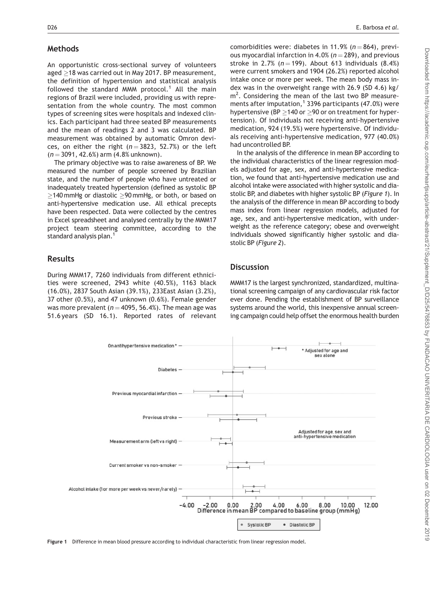#### Methods

An opportunistic cross-sectional survey of volunteers aged  $\geq$ 18 was carried out in May 2017. BP measurement, the definition of hypertension and statistical analysis followed the standard MMM protocol.<sup>1</sup> All the main regions of Brazil were included, providing us with representation from the whole country. The most common types of screening sites were hospitals and indexed clinics. Each participant had three seated BP measurements and the mean of readings 2 and 3 was calculated. BP measurement was obtained by automatic Omron devices, on either the right ( $n = 3823$ , 52.7%) or the left  $(n = 3091, 42.6%)$  arm  $(4.8%$  unknown).

The primary objective was to raise awareness of BP. We measured the number of people screened by Brazilian state, and the number of people who have untreated or inadequately treated hypertension (defined as systolic BP  $\ge$ 140 mmHg or diastolic  $\ge$ 90 mmHg, or both, or based on anti-hypertensive medication use. All ethical precepts have been respected. Data were collected by the centres in Excel spreadsheet and analysed centrally by the MMM17 project team steering committee, according to the standard analysis plan.<sup>1</sup>

## Results

During MMM17, 7260 individuals from different ethnicities were screened, 2943 white (40.5%), 1163 black (16.0%), 2837 South Asian (39.1%), 233East Asian (3.2%), 37 other (0.5%), and 47 unknown (0.6%). Female gender was more prevalent ( $n = 4095, 56.4%$ ). The mean age was 51.6 years (SD 16.1). Reported rates of relevant comorbidities were: diabetes in 11.9% ( $n = 864$ ), previous myocardial infarction in 4.0% ( $n = 289$ ), and previous stroke in 2.7% ( $n = 199$ ). About 613 individuals (8.4%) were current smokers and 1904 (26.2%) reported alcohol intake once or more per week. The mean body mass index was in the overweight range with 26.9 (SD 4.6) kg/ m<sup>2</sup>. Considering the mean of the last two BP measurements after imputation,<sup>1</sup> 3396 participants (47.0%) were hypertensive (BP  $\geq$ 140 or  $\geq$ 90 or on treatment for hypertension). Of individuals not receiving anti-hypertensive medication, 924 (19.5%) were hypertensive. Of individuals receiving anti-hypertensive medication, 977 (40.0%) had uncontrolled BP.

In the analysis of the difference in mean BP according to the individual characteristics of the linear regression models adjusted for age, sex, and anti-hypertensive medication, we found that anti-hypertensive medication use and alcohol intake were associated with higher systolic and diastolic BP, and diabetes with higher systolic BP (Figure 1). In the analysis of the difference in mean BP according to body mass index from linear regression models, adjusted for age, sex, and anti-hypertensive medication, with underweight as the reference category; obese and overweight individuals showed significantly higher systolic and diastolic BP (Figure 2).

#### **Discussion**

MMM17 is the largest synchronized, standardized, multinational screening campaign of any cardiovascular risk factor ever done. Pending the establishment of BP surveillance systems around the world, this inexpensive annual screening campaign could help offset the enormous health burden



Figure 1 Difference in mean blood pressure according to individual characteristic from linear regression model.